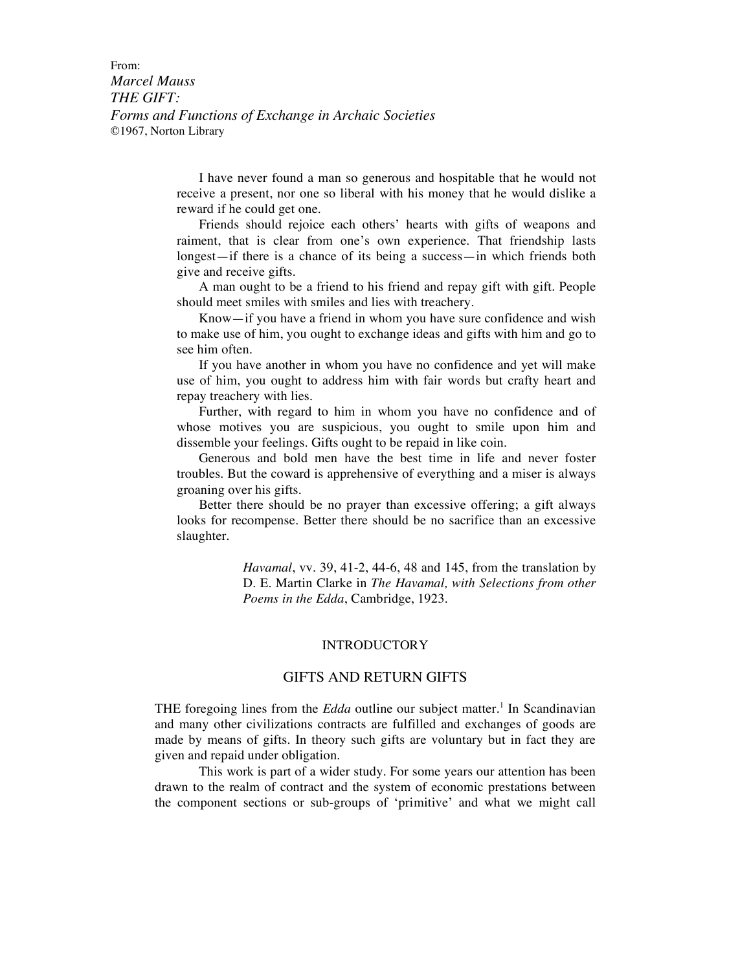From: *Marcel Mauss THE GIFT: Forms and Functions of Exchange in Archaic Societies* ©1967, Norton Library

> I have never found a man so generous and hospitable that he would not receive a present, nor one so liberal with his money that he would dislike a reward if he could get one.

> Friends should rejoice each others' hearts with gifts of weapons and raiment, that is clear from one's own experience. That friendship lasts longest—if there is a chance of its being a success—in which friends both give and receive gifts.

> A man ought to be a friend to his friend and repay gift with gift. People should meet smiles with smiles and lies with treachery.

> Know—if you have a friend in whom you have sure confidence and wish to make use of him, you ought to exchange ideas and gifts with him and go to see him often.

> If you have another in whom you have no confidence and yet will make use of him, you ought to address him with fair words but crafty heart and repay treachery with lies.

> Further, with regard to him in whom you have no confidence and of whose motives you are suspicious, you ought to smile upon him and dissemble your feelings. Gifts ought to be repaid in like coin.

> Generous and bold men have the best time in life and never foster troubles. But the coward is apprehensive of everything and a miser is always groaning over his gifts.

> Better there should be no prayer than excessive offering; a gift always looks for recompense. Better there should be no sacrifice than an excessive slaughter.

> > *Havamal*, vv. 39, 41-2, 44-6, 48 and 145, from the translation by D. E. Martin Clarke in *The Havamal, with Selections from other Poems in the Edda*, Cambridge, 1923.

### **INTRODUCTORY**

## GIFTS AND RETURN GIFTS

THE foregoing lines from the *Edda* outline our subject matter. <sup>1</sup> In Scandinavian and many other civilizations contracts are fulfilled and exchanges of goods are made by means of gifts. In theory such gifts are voluntary but in fact they are given and repaid under obligation.

This work is part of a wider study. For some years our attention has been drawn to the realm of contract and the system of economic prestations between the component sections or sub-groups of 'primitive' and what we might call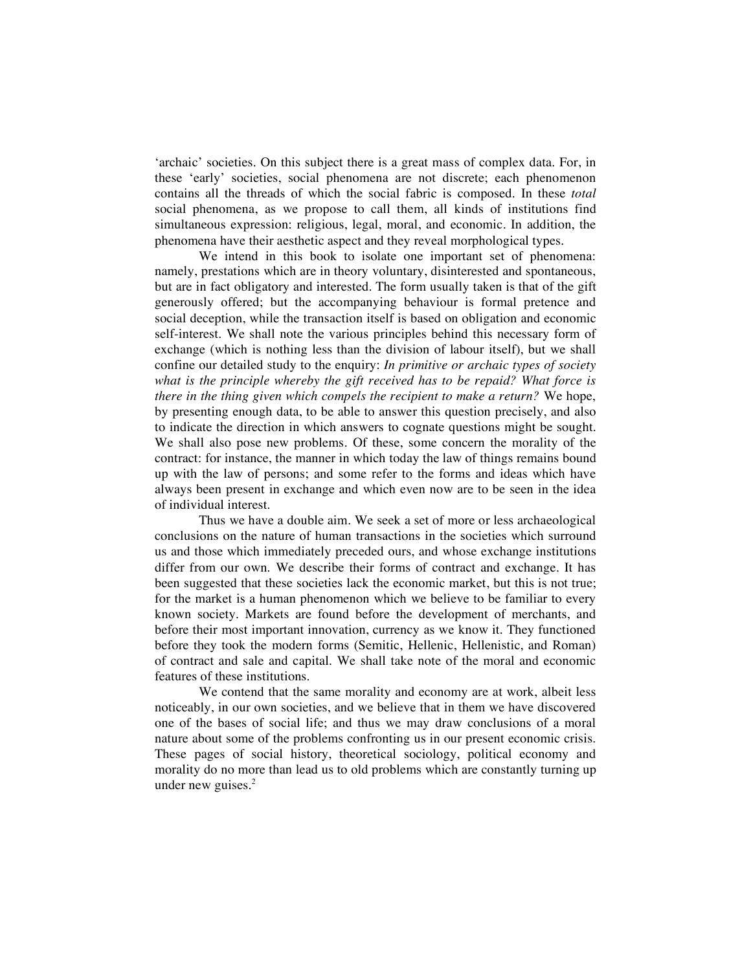'archaic' societies. On this subject there is a great mass of complex data. For, in these 'early' societies, social phenomena are not discrete; each phenomenon contains all the threads of which the social fabric is composed. In these *total* social phenomena, as we propose to call them, all kinds of institutions find simultaneous expression: religious, legal, moral, and economic. In addition, the phenomena have their aesthetic aspect and they reveal morphological types.

We intend in this book to isolate one important set of phenomena: namely, prestations which are in theory voluntary, disinterested and spontaneous, but are in fact obligatory and interested. The form usually taken is that of the gift generously offered; but the accompanying behaviour is formal pretence and social deception, while the transaction itself is based on obligation and economic self-interest. We shall note the various principles behind this necessary form of exchange (which is nothing less than the division of labour itself), but we shall confine our detailed study to the enquiry: *In primitive or archaic types of society what is the principle whereby the gift received has to be repaid? What force is there in the thing given which compels the recipient to make a return?* We hope, by presenting enough data, to be able to answer this question precisely, and also to indicate the direction in which answers to cognate questions might be sought. We shall also pose new problems. Of these, some concern the morality of the contract: for instance, the manner in which today the law of things remains bound up with the law of persons; and some refer to the forms and ideas which have always been present in exchange and which even now are to be seen in the idea of individual interest.

Thus we have a double aim. We seek a set of more or less archaeological conclusions on the nature of human transactions in the societies which surround us and those which immediately preceded ours, and whose exchange institutions differ from our own. We describe their forms of contract and exchange. It has been suggested that these societies lack the economic market, but this is not true; for the market is a human phenomenon which we believe to be familiar to every known society. Markets are found before the development of merchants, and before their most important innovation, currency as we know it. They functioned before they took the modern forms (Semitic, Hellenic, Hellenistic, and Roman) of contract and sale and capital. We shall take note of the moral and economic features of these institutions.

We contend that the same morality and economy are at work, albeit less noticeably, in our own societies, and we believe that in them we have discovered one of the bases of social life; and thus we may draw conclusions of a moral nature about some of the problems confronting us in our present economic crisis. These pages of social history, theoretical sociology, political economy and morality do no more than lead us to old problems which are constantly turning up under new guises. 2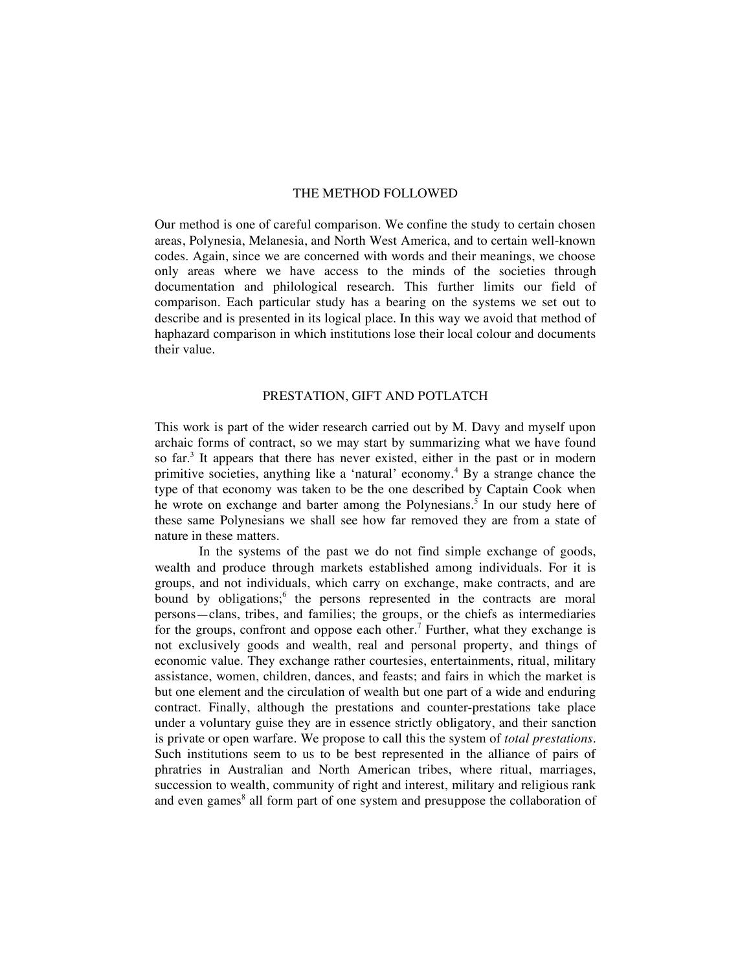#### THE METHOD FOLLOWED

Our method is one of careful comparison. We confine the study to certain chosen areas, Polynesia, Melanesia, and North West America, and to certain well-known codes. Again, since we are concerned with words and their meanings, we choose only areas where we have access to the minds of the societies through documentation and philological research. This further limits our field of comparison. Each particular study has a bearing on the systems we set out to describe and is presented in its logical place. In this way we avoid that method of haphazard comparison in which institutions lose their local colour and documents their value.

### PRESTATION, GIFT AND POTLATCH

This work is part of the wider research carried out by M. Davy and myself upon archaic forms of contract, so we may start by summarizing what we have found so far.<sup>3</sup> It appears that there has never existed, either in the past or in modern primitive societies, anything like a 'natural' economy. <sup>4</sup> By a strange chance the type of that economy was taken to be the one described by Captain Cook when he wrote on exchange and barter among the Polynesians. <sup>5</sup> In our study here of these same Polynesians we shall see how far removed they are from a state of nature in these matters.

In the systems of the past we do not find simple exchange of goods, wealth and produce through markets established among individuals. For it is groups, and not individuals, which carry on exchange, make contracts, and are bound by obligations; <sup>6</sup> the persons represented in the contracts are moral persons—clans, tribes, and families; the groups, or the chiefs as intermediaries for the groups, confront and oppose each other.<sup>7</sup> Further, what they exchange is not exclusively goods and wealth, real and personal property, and things of economic value. They exchange rather courtesies, entertainments, ritual, military assistance, women, children, dances, and feasts; and fairs in which the market is but one element and the circulation of wealth but one part of a wide and enduring contract. Finally, although the prestations and counter-prestations take place under a voluntary guise they are in essence strictly obligatory, and their sanction is private or open warfare. We propose to call this the system of *total prestations*. Such institutions seem to us to be best represented in the alliance of pairs of phratries in Australian and North American tribes, where ritual, marriages, succession to wealth, community of right and interest, military and religious rank and even games<sup>8</sup> all form part of one system and presuppose the collaboration of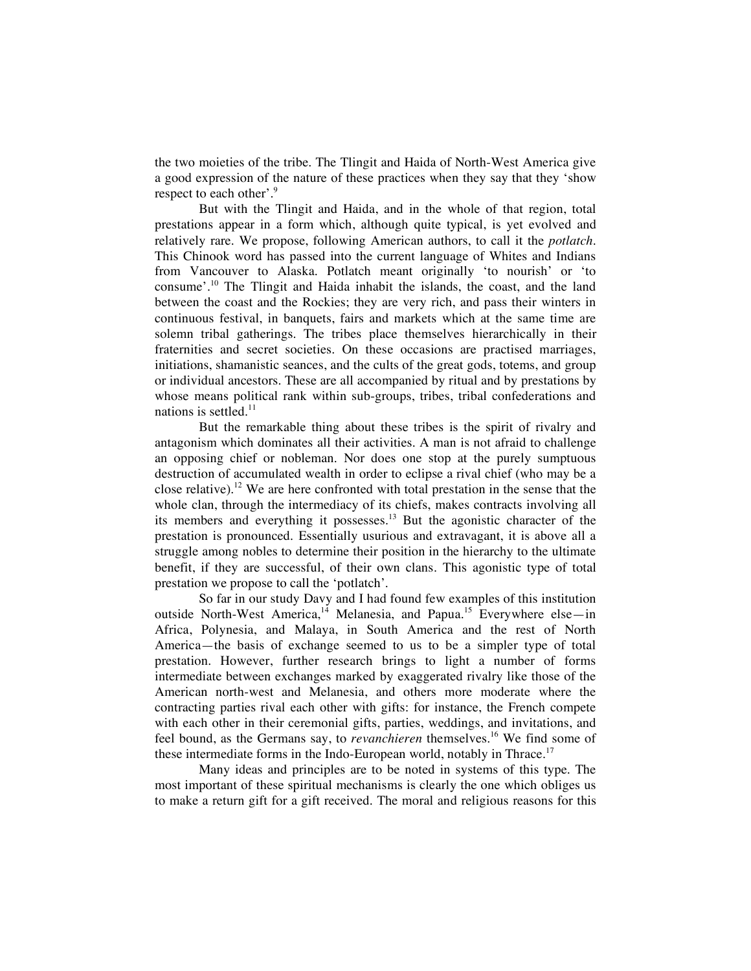the two moieties of the tribe. The Tlingit and Haida of North-West America give a good expression of the nature of these practices when they say that they 'show respect to each other'.<sup>9</sup>

But with the Tlingit and Haida, and in the whole of that region, total prestations appear in a form which, although quite typical, is yet evolved and relatively rare. We propose, following American authors, to call it the *potlatch*. This Chinook word has passed into the current language of Whites and Indians from Vancouver to Alaska. Potlatch meant originally 'to nourish' or 'to consume'. <sup>10</sup> The Tlingit and Haida inhabit the islands, the coast, and the land between the coast and the Rockies; they are very rich, and pass their winters in continuous festival, in banquets, fairs and markets which at the same time are solemn tribal gatherings. The tribes place themselves hierarchically in their fraternities and secret societies. On these occasions are practised marriages, initiations, shamanistic seances, and the cults of the great gods, totems, and group or individual ancestors. These are all accompanied by ritual and by prestations by whose means political rank within sub-groups, tribes, tribal confederations and nations is settled.<sup>11</sup>

But the remarkable thing about these tribes is the spirit of rivalry and antagonism which dominates all their activities. A man is not afraid to challenge an opposing chief or nobleman. Nor does one stop at the purely sumptuous destruction of accumulated wealth in order to eclipse a rival chief (who may be a close relative).<sup>12</sup> We are here confronted with total prestation in the sense that the whole clan, through the intermediacy of its chiefs, makes contracts involving all its members and everything it possesses.<sup>13</sup> But the agonistic character of the prestation is pronounced. Essentially usurious and extravagant, it is above all a struggle among nobles to determine their position in the hierarchy to the ultimate benefit, if they are successful, of their own clans. This agonistic type of total prestation we propose to call the 'potlatch'.

So far in our study Davy and I had found few examples of this institution outside North-West America,<sup>14</sup> Melanesia, and Papua.<sup>15</sup> Everywhere else—in Africa, Polynesia, and Malaya, in South America and the rest of North America—the basis of exchange seemed to us to be a simpler type of total prestation. However, further research brings to light a number of forms intermediate between exchanges marked by exaggerated rivalry like those of the American north-west and Melanesia, and others more moderate where the contracting parties rival each other with gifts: for instance, the French compete with each other in their ceremonial gifts, parties, weddings, and invitations, and feel bound, as the Germans say, to *revanchieren* themselves. <sup>16</sup> We find some of these intermediate forms in the Indo-European world, notably in Thrace.<sup>17</sup>

Many ideas and principles are to be noted in systems of this type. The most important of these spiritual mechanisms is clearly the one which obliges us to make a return gift for a gift received. The moral and religious reasons for this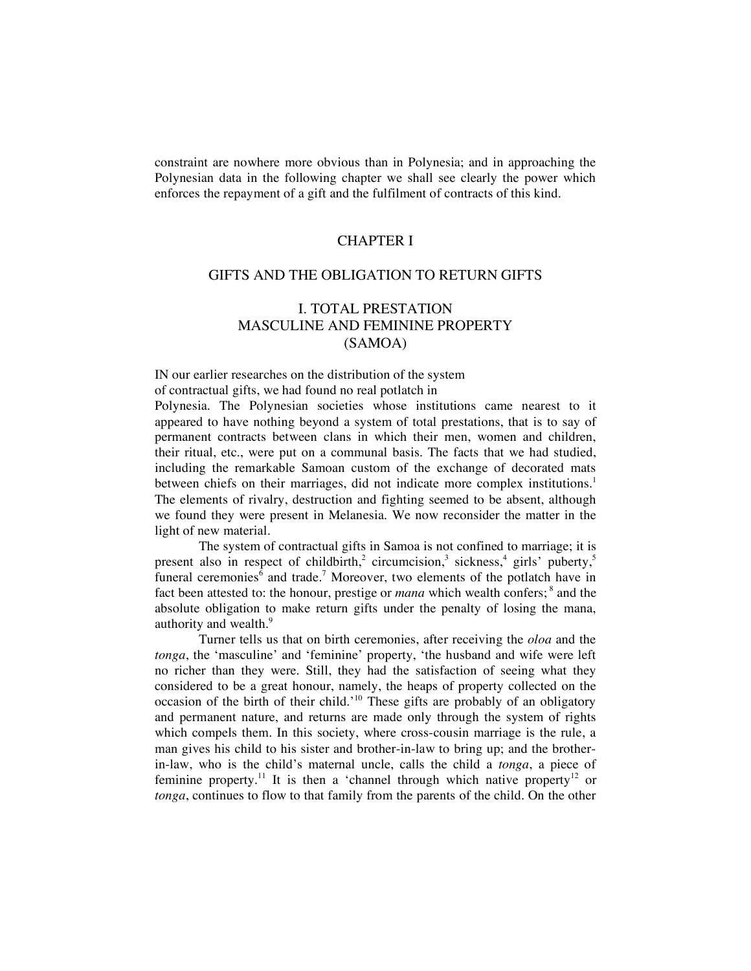constraint are nowhere more obvious than in Polynesia; and in approaching the Polynesian data in the following chapter we shall see clearly the power which enforces the repayment of a gift and the fulfilment of contracts of this kind.

### CHAPTER I

### GIFTS AND THE OBLIGATION TO RETURN GIFTS

# I. TOTAL PRESTATION MASCULINE AND FEMININE PROPERTY (SAMOA)

IN our earlier researches on the distribution of the system

of contractual gifts, we had found no real potlatch in

Polynesia. The Polynesian societies whose institutions came nearest to it appeared to have nothing beyond a system of total prestations, that is to say of permanent contracts between clans in which their men, women and children, their ritual, etc., were put on a communal basis. The facts that we had studied, including the remarkable Samoan custom of the exchange of decorated mats between chiefs on their marriages, did not indicate more complex institutions.<sup>1</sup> The elements of rivalry, destruction and fighting seemed to be absent, although we found they were present in Melanesia. We now reconsider the matter in the light of new material.

The system of contractual gifts in Samoa is not confined to marriage; it is present also in respect of childbirth,<sup>2</sup> circumcision,<sup>3</sup> sickness,<sup>4</sup> girls' puberty,<sup>5</sup> funeral ceremonies<sup>6</sup> and trade.<sup>7</sup> Moreover, two elements of the potlatch have in fact been attested to: the honour, prestige or *mana* which wealth confers;<sup>8</sup> and the absolute obligation to make return gifts under the penalty of losing the mana, authority and wealth.<sup>9</sup>

Turner tells us that on birth ceremonies, after receiving the *oloa* and the *tonga*, the 'masculine' and 'feminine' property, 'the husband and wife were left no richer than they were. Still, they had the satisfaction of seeing what they considered to be a great honour, namely, the heaps of property collected on the occasion of the birth of their child.'<sup>10</sup> These gifts are probably of an obligatory and permanent nature, and returns are made only through the system of rights which compels them. In this society, where cross-cousin marriage is the rule, a man gives his child to his sister and brother-in-law to bring up; and the brotherin-law, who is the child's maternal uncle, calls the child a *tonga*, a piece of feminine property.<sup>11</sup> It is then a 'channel through which native property<sup>12</sup> or *tonga*, continues to flow to that family from the parents of the child. On the other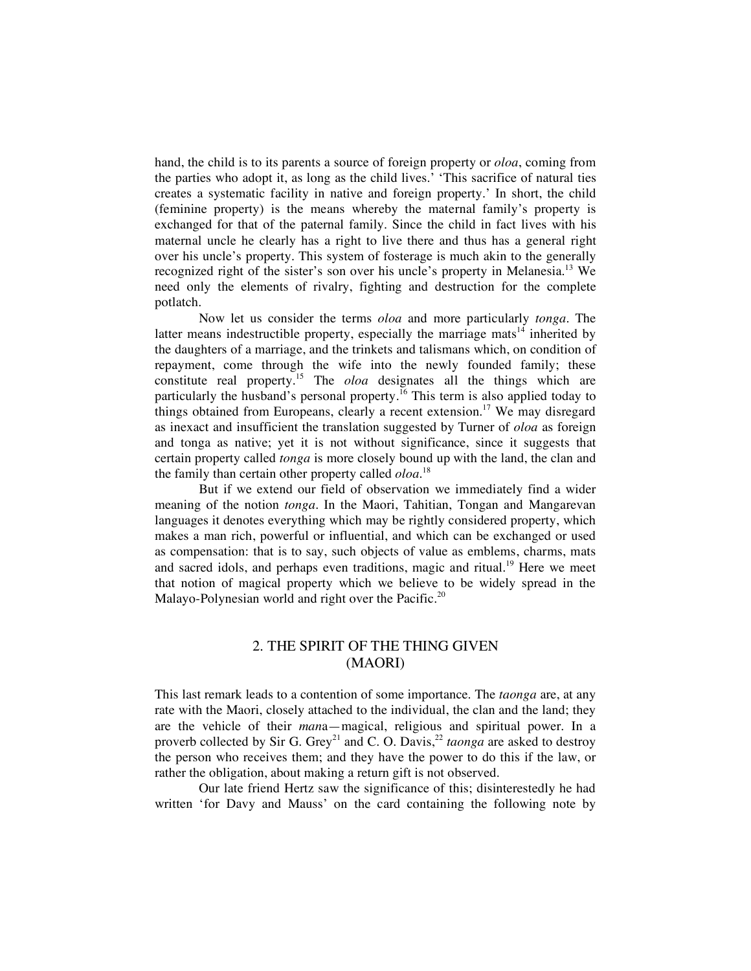hand, the child is to its parents a source of foreign property or *oloa*, coming from the parties who adopt it, as long as the child lives.' 'This sacrifice of natural ties creates a systematic facility in native and foreign property.' In short, the child (feminine property) is the means whereby the maternal family's property is exchanged for that of the paternal family. Since the child in fact lives with his maternal uncle he clearly has a right to live there and thus has a general right over his uncle's property. This system of fosterage is much akin to the generally recognized right of the sister's son over his uncle's property in Melanesia.<sup>13</sup> We need only the elements of rivalry, fighting and destruction for the complete potlatch.

Now let us consider the terms *oloa* and more particularly *tonga*. The latter means indestructible property, especially the marriage mats<sup>14</sup> inherited by the daughters of a marriage, and the trinkets and talismans which, on condition of repayment, come through the wife into the newly founded family; these constitute real property. <sup>15</sup> The *oloa* designates all the things which are particularly the husband's personal property.<sup>16</sup> This term is also applied today to things obtained from Europeans, clearly a recent extension.<sup>17</sup> We may disregard as inexact and insufficient the translation suggested by Turner of *oloa* as foreign and tonga as native; yet it is not without significance, since it suggests that certain property called *tonga* is more closely bound up with the land, the clan and the family than certain other property called *oloa*. 18

But if we extend our field of observation we immediately find a wider meaning of the notion *tonga*. In the Maori, Tahitian, Tongan and Mangarevan languages it denotes everything which may be rightly considered property, which makes a man rich, powerful or influential, and which can be exchanged or used as compensation: that is to say, such objects of value as emblems, charms, mats and sacred idols, and perhaps even traditions, magic and ritual.<sup>19</sup> Here we meet that notion of magical property which we believe to be widely spread in the Malayo-Polynesian world and right over the Pacific.<sup>20</sup>

## 2. THE SPIRIT OF THE THING GIVEN (MAORI)

This last remark leads to a contention of some importance. The *taonga* are, at any rate with the Maori, closely attached to the individual, the clan and the land; they are the vehicle of their *man*a—magical, religious and spiritual power. In a proverb collected by Sir G. Grey<sup>21</sup> and C. O. Davis,<sup>22</sup> *taonga* are asked to destroy the person who receives them; and they have the power to do this if the law, or rather the obligation, about making a return gift is not observed.

Our late friend Hertz saw the significance of this; disinterestedly he had written 'for Davy and Mauss' on the card containing the following note by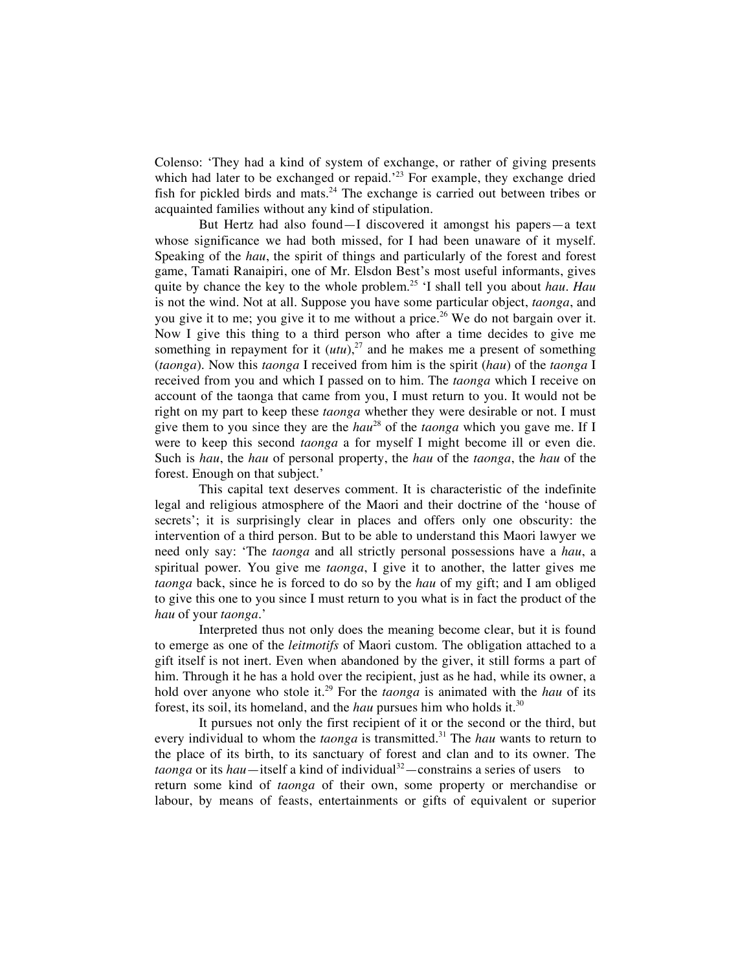Colenso: 'They had a kind of system of exchange, or rather of giving presents which had later to be exchanged or repaid.<sup>23</sup> For example, they exchange dried fish for pickled birds and mats.<sup>24</sup> The exchange is carried out between tribes or acquainted families without any kind of stipulation.

But Hertz had also found—I discovered it amongst his papers—a text whose significance we had both missed, for I had been unaware of it myself. Speaking of the *hau*, the spirit of things and particularly of the forest and forest game, Tamati Ranaipiri, one of Mr. Elsdon Best's most useful informants, gives quite by chance the key to the whole problem.25 'I shall tell you about *hau*. *Hau* is not the wind. Not at all. Suppose you have some particular object, *taonga*, and you give it to me; you give it to me without a price.<sup>26</sup> We do not bargain over it. Now I give this thing to a third person who after a time decides to give me something in repayment for it  $(utu)$ ,<sup>27</sup> and he makes me a present of something (*taonga*). Now this *taonga* I received from him is the spirit (*hau*) of the *taonga* I received from you and which I passed on to him. The *taonga* which I receive on account of the taonga that came from you, I must return to you. It would not be right on my part to keep these *taonga* whether they were desirable or not. I must give them to you since they are the *hau*<sup>28</sup> of the *taonga* which you gave me. If I were to keep this second *taonga* a for myself I might become ill or even die. Such is *hau*, the *hau* of personal property, the *hau* of the *taonga*, the *hau* of the forest. Enough on that subject.'

This capital text deserves comment. It is characteristic of the indefinite legal and religious atmosphere of the Maori and their doctrine of the 'house of secrets'; it is surprisingly clear in places and offers only one obscurity: the intervention of a third person. But to be able to understand this Maori lawyer we need only say: 'The *taonga* and all strictly personal possessions have a *hau*, a spiritual power. You give me *taonga*, I give it to another, the latter gives me *taonga* back, since he is forced to do so by the *hau* of my gift; and I am obliged to give this one to you since I must return to you what is in fact the product of the *hau* of your *taonga*.'

Interpreted thus not only does the meaning become clear, but it is found to emerge as one of the *leitmotifs* of Maori custom. The obligation attached to a gift itself is not inert. Even when abandoned by the giver, it still forms a part of him. Through it he has a hold over the recipient, just as he had, while its owner, a hold over anyone who stole it. <sup>29</sup> For the *taonga* is animated with the *hau* of its forest, its soil, its homeland, and the *hau* pursues him who holds it. 30

It pursues not only the first recipient of it or the second or the third, but every individual to whom the *taonga* is transmitted. <sup>31</sup> The *hau* wants to return to the place of its birth, to its sanctuary of forest and clan and to its owner. The *taonga* or its *hau*—itself a kind of individual<sup>32</sup>—constrains a series of users to return some kind of *taonga* of their own, some property or merchandise or labour, by means of feasts, entertainments or gifts of equivalent or superior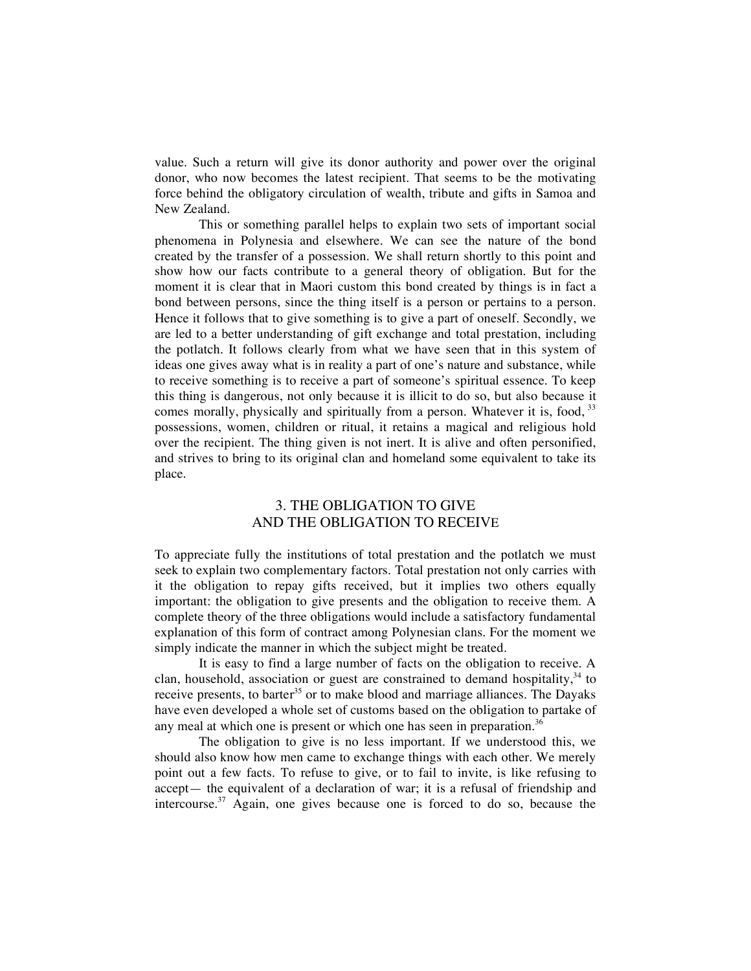value. Such a return will give its donor authority and power over the original donor, who now becomes the latest recipient. That seems to be the motivating force behind the obligatory circulation of wealth, tribute and gifts in Samoa and New Zealand.

This or something parallel helps to explain two sets of important social phenomena in Polynesia and elsewhere. We can see the nature of the bond created by the transfer of a possession. We shall return shortly to this point and show how our facts contribute to a general theory of obligation. But for the moment it is clear that in Maori custom this bond created by things is in fact a bond between persons, since the thing itself is a person or pertains to a person. Hence it follows that to give something is to give a part of oneself. Secondly, we are led to a better understanding of gift exchange and total prestation, including the potlatch. It follows clearly from what we have seen that in this system of ideas one gives away what is in reality a part of one's nature and substance, while to receive something is to receive a part of someone's spiritual essence. To keep this thing is dangerous, not only because it is illicit to do so, but also because it comes morally, physically and spiritually from a person. Whatever it is, food,  $33$ possessions, women, children or ritual, it retains a magical and religious hold over the recipient. The thing given is not inert. It is alive and often personified, and strives to bring to its original clan and homeland some equivalent to take its place.

# 3. THE OBLIGATION TO GIVE AND THE OBLIGATION TO RECEIVE

To appreciate fully the institutions of total prestation and the potlatch we must seek to explain two complementary factors. Total prestation not only carries with it the obligation to repay gifts received, but it implies two others equally important: the obligation to give presents and the obligation to receive them. A complete theory of the three obligations would include a satisfactory fundamental explanation of this form of contract among Polynesian clans. For the moment we simply indicate the manner in which the subject might be treated.

It is easy to find a large number of facts on the obligation to receive. A clan, household, association or guest are constrained to demand hospitality,<sup>34</sup> to receive presents, to barter<sup>35</sup> or to make blood and marriage alliances. The Dayaks have even developed a whole set of customs based on the obligation to partake of any meal at which one is present or which one has seen in preparation.<sup>36</sup>

The obligation to give is no less important. If we understood this, we should also know how men came to exchange things with each other. We merely point out a few facts. To refuse to give, or to fail to invite, is like refusing to accept— the equivalent of a declaration of war; it is a refusal of friendship and intercourse. $37$  Again, one gives because one is forced to do so, because the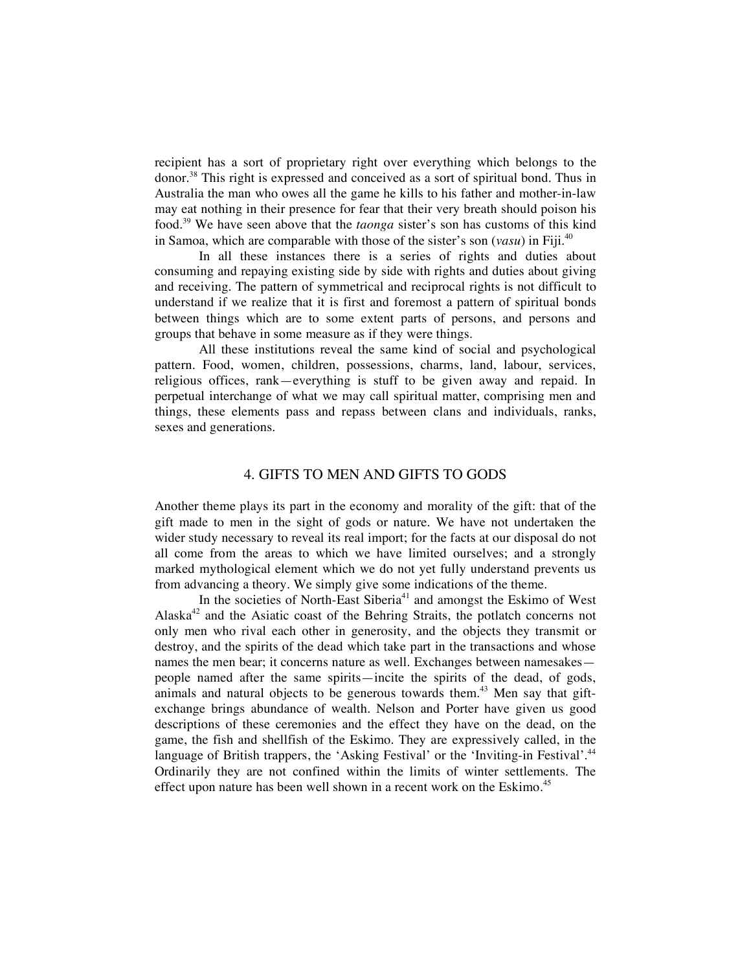recipient has a sort of proprietary right over everything which belongs to the donor.<sup>38</sup> This right is expressed and conceived as a sort of spiritual bond. Thus in Australia the man who owes all the game he kills to his father and mother-in-law may eat nothing in their presence for fear that their very breath should poison his food. <sup>39</sup> We have seen above that the *taonga* sister's son has customs of this kind in Samoa, which are comparable with those of the sister's son (*vasu*) in Fiji. 40

In all these instances there is a series of rights and duties about consuming and repaying existing side by side with rights and duties about giving and receiving. The pattern of symmetrical and reciprocal rights is not difficult to understand if we realize that it is first and foremost a pattern of spiritual bonds between things which are to some extent parts of persons, and persons and groups that behave in some measure as if they were things.

All these institutions reveal the same kind of social and psychological pattern. Food, women, children, possessions, charms, land, labour, services, religious offices, rank—everything is stuff to be given away and repaid. In perpetual interchange of what we may call spiritual matter, comprising men and things, these elements pass and repass between clans and individuals, ranks, sexes and generations.

## 4. GIFTS TO MEN AND GIFTS TO GODS

Another theme plays its part in the economy and morality of the gift: that of the gift made to men in the sight of gods or nature. We have not undertaken the wider study necessary to reveal its real import; for the facts at our disposal do not all come from the areas to which we have limited ourselves; and a strongly marked mythological element which we do not yet fully understand prevents us from advancing a theory. We simply give some indications of the theme.

In the societies of North-East Siberia<sup>41</sup> and amongst the Eskimo of West Alaska<sup>42</sup> and the Asiatic coast of the Behring Straits, the potlatch concerns not only men who rival each other in generosity, and the objects they transmit or destroy, and the spirits of the dead which take part in the transactions and whose names the men bear; it concerns nature as well. Exchanges between namesakes people named after the same spirits—incite the spirits of the dead, of gods, animals and natural objects to be generous towards them.<sup>43</sup> Men say that giftexchange brings abundance of wealth. Nelson and Porter have given us good descriptions of these ceremonies and the effect they have on the dead, on the game, the fish and shellfish of the Eskimo. They are expressively called, in the language of British trappers, the 'Asking Festival' or the 'Inviting-in Festival'.<sup>44</sup> Ordinarily they are not confined within the limits of winter settlements. The effect upon nature has been well shown in a recent work on the Eskimo.<sup>45</sup>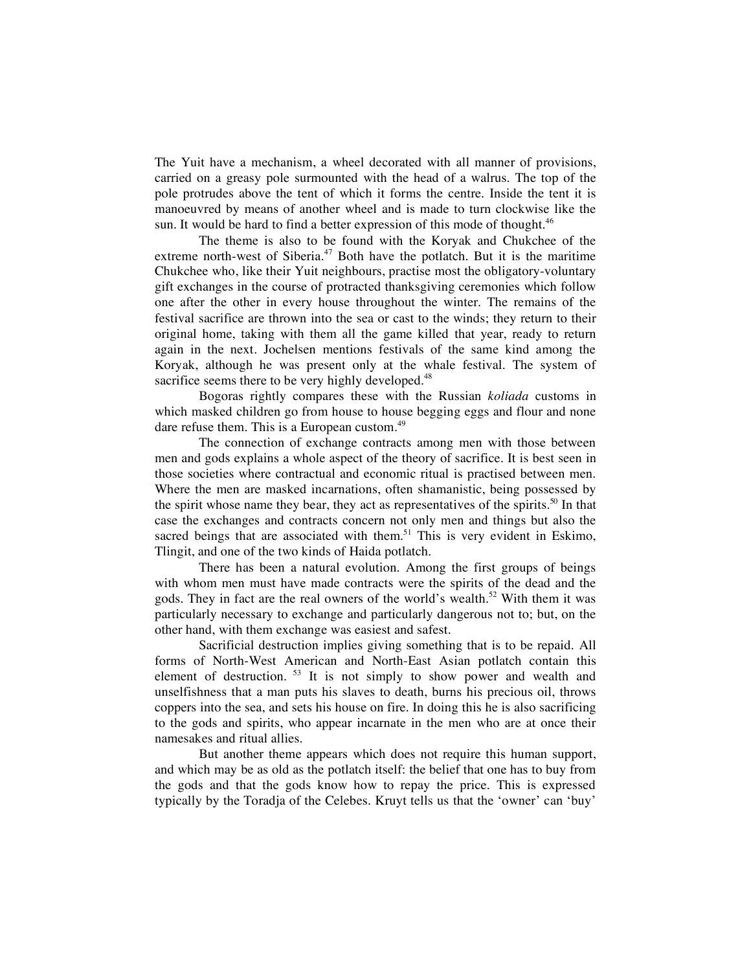The Yuit have a mechanism, a wheel decorated with all manner of provisions, carried on a greasy pole surmounted with the head of a walrus. The top of the pole protrudes above the tent of which it forms the centre. Inside the tent it is manoeuvred by means of another wheel and is made to turn clockwise like the sun. It would be hard to find a better expression of this mode of thought.<sup>46</sup>

The theme is also to be found with the Koryak and Chukchee of the extreme north-west of Siberia.<sup>47</sup> Both have the potlatch. But it is the maritime Chukchee who, like their Yuit neighbours, practise most the obligatory-voluntary gift exchanges in the course of protracted thanksgiving ceremonies which follow one after the other in every house throughout the winter. The remains of the festival sacrifice are thrown into the sea or cast to the winds; they return to their original home, taking with them all the game killed that year, ready to return again in the next. Jochelsen mentions festivals of the same kind among the Koryak, although he was present only at the whale festival. The system of sacrifice seems there to be very highly developed.<sup>48</sup>

Bogoras rightly compares these with the Russian *koliada* customs in which masked children go from house to house begging eggs and flour and none dare refuse them. This is a European custom.<sup>49</sup>

The connection of exchange contracts among men with those between men and gods explains a whole aspect of the theory of sacrifice. It is best seen in those societies where contractual and economic ritual is practised between men. Where the men are masked incarnations, often shamanistic, being possessed by the spirit whose name they bear, they act as representatives of the spirits.<sup>50</sup> In that case the exchanges and contracts concern not only men and things but also the sacred beings that are associated with them.<sup>51</sup> This is very evident in Eskimo, Tlingit, and one of the two kinds of Haida potlatch.

There has been a natural evolution. Among the first groups of beings with whom men must have made contracts were the spirits of the dead and the gods. They in fact are the real owners of the world's wealth.<sup>52</sup> With them it was particularly necessary to exchange and particularly dangerous not to; but, on the other hand, with them exchange was easiest and safest.

Sacrificial destruction implies giving something that is to be repaid. All forms of North-West American and North-East Asian potlatch contain this element of destruction.  $53$  It is not simply to show power and wealth and unselfishness that a man puts his slaves to death, burns his precious oil, throws coppers into the sea, and sets his house on fire. In doing this he is also sacrificing to the gods and spirits, who appear incarnate in the men who are at once their namesakes and ritual allies.

But another theme appears which does not require this human support, and which may be as old as the potlatch itself: the belief that one has to buy from the gods and that the gods know how to repay the price. This is expressed typically by the Toradja of the Celebes. Kruyt tells us that the 'owner' can 'buy'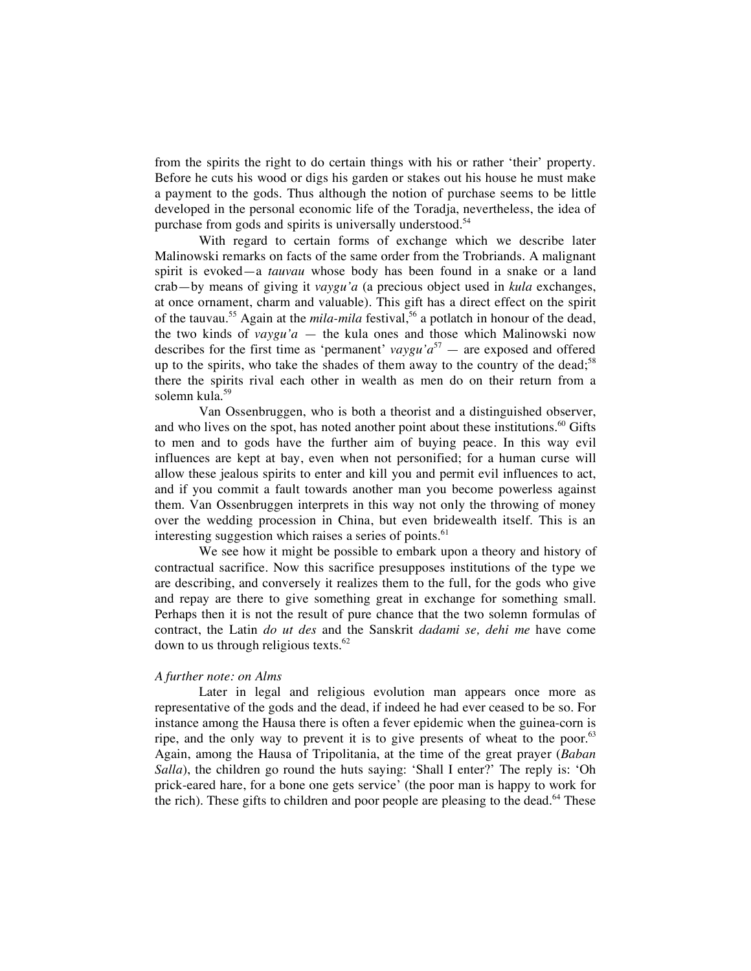from the spirits the right to do certain things with his or rather 'their' property. Before he cuts his wood or digs his garden or stakes out his house he must make a payment to the gods. Thus although the notion of purchase seems to be little developed in the personal economic life of the Toradja, nevertheless, the idea of purchase from gods and spirits is universally understood.<sup>54</sup>

With regard to certain forms of exchange which we describe later Malinowski remarks on facts of the same order from the Trobriands. A malignant spirit is evoked—a *tauvau* whose body has been found in a snake or a land crab—by means of giving it *vaygu'a* (a precious object used in *kula* exchanges, at once ornament, charm and valuable). This gift has a direct effect on the spirit of the tauvau. <sup>55</sup> Again at the *mila-mila* festival, <sup>56</sup> a potlatch in honour of the dead, the two kinds of *vaygu'a*  $-$  the kula ones and those which Malinowski now describes for the first time as 'permanent' *vaygu'a*<sup>57</sup> — are exposed and offered up to the spirits, who take the shades of them away to the country of the dead;<sup>58</sup> there the spirits rival each other in wealth as men do on their return from a solemn kula.<sup>59</sup>

Van Ossenbruggen, who is both a theorist and a distinguished observer, and who lives on the spot, has noted another point about these institutions.<sup>60</sup> Gifts to men and to gods have the further aim of buying peace. In this way evil influences are kept at bay, even when not personified; for a human curse will allow these jealous spirits to enter and kill you and permit evil influences to act, and if you commit a fault towards another man you become powerless against them. Van Ossenbruggen interprets in this way not only the throwing of money over the wedding procession in China, but even bridewealth itself. This is an interesting suggestion which raises a series of points.<sup>61</sup>

We see how it might be possible to embark upon a theory and history of contractual sacrifice. Now this sacrifice presupposes institutions of the type we are describing, and conversely it realizes them to the full, for the gods who give and repay are there to give something great in exchange for something small. Perhaps then it is not the result of pure chance that the two solemn formulas of contract, the Latin *do ut des* and the Sanskrit *dadami se, dehi me* have come down to us through religious texts. 62

### *A further note: on Alms*

Later in legal and religious evolution man appears once more as representative of the gods and the dead, if indeed he had ever ceased to be so. For instance among the Hausa there is often a fever epidemic when the guinea-corn is ripe, and the only way to prevent it is to give presents of wheat to the poor. $63$ Again, among the Hausa of Tripolitania, at the time of the great prayer (*Baban Salla*), the children go round the huts saying: 'Shall I enter?' The reply is: 'Oh prick-eared hare, for a bone one gets service' (the poor man is happy to work for the rich). These gifts to children and poor people are pleasing to the dead.<sup>64</sup> These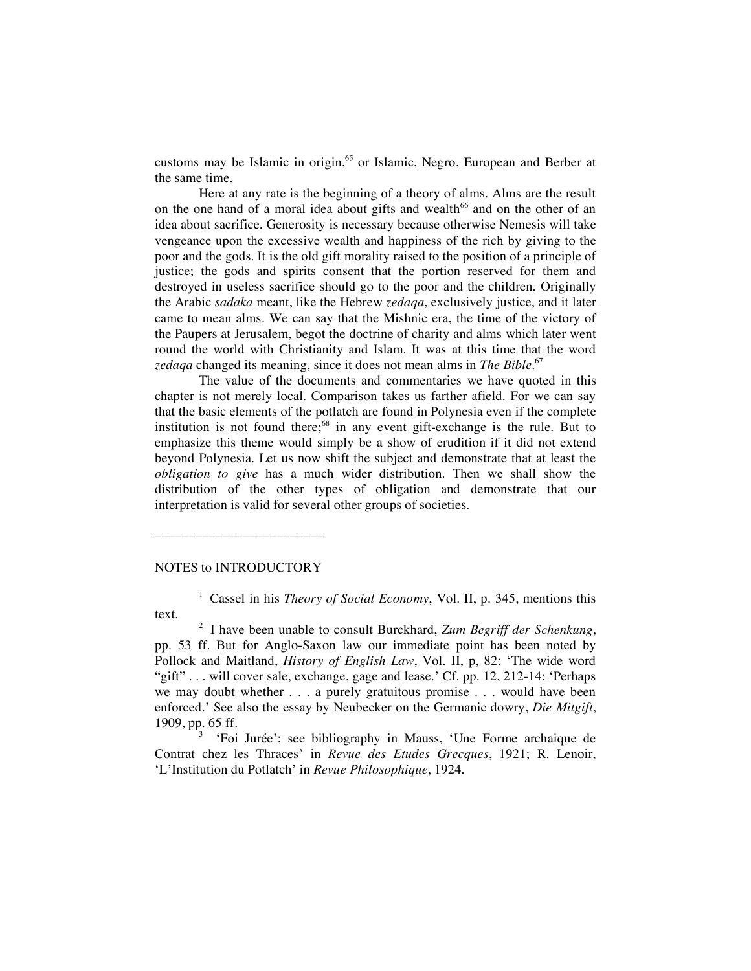customs may be Islamic in origin, <sup>65</sup> or Islamic, Negro, European and Berber at the same time.

Here at any rate is the beginning of a theory of alms. Alms are the result on the one hand of a moral idea about gifts and wealth<sup>66</sup> and on the other of an idea about sacrifice. Generosity is necessary because otherwise Nemesis will take vengeance upon the excessive wealth and happiness of the rich by giving to the poor and the gods. It is the old gift morality raised to the position of a principle of justice; the gods and spirits consent that the portion reserved for them and destroyed in useless sacrifice should go to the poor and the children. Originally the Arabic *sadaka* meant, like the Hebrew *zedaqa*, exclusively justice, and it later came to mean alms. We can say that the Mishnic era, the time of the victory of the Paupers at Jerusalem, begot the doctrine of charity and alms which later went round the world with Christianity and Islam. It was at this time that the word *zedaqa* changed its meaning, since it does not mean alms in *The Bible*. 67

The value of the documents and commentaries we have quoted in this chapter is not merely local. Comparison takes us farther afield. For we can say that the basic elements of the potlatch are found in Polynesia even if the complete institution is not found there;<sup>68</sup> in any event gift-exchange is the rule. But to emphasize this theme would simply be a show of erudition if it did not extend beyond Polynesia. Let us now shift the subject and demonstrate that at least the *obligation to give* has a much wider distribution. Then we shall show the distribution of the other types of obligation and demonstrate that our interpretation is valid for several other groups of societies.

### NOTES to INTRODUCTORY

–––––––––––––––––––––––––

<sup>1</sup> Cassel in his *Theory of Social Economy*, Vol. II, p. 345, mentions this text.

<sup>2</sup> I have been unable to consult Burckhard, *Zum Begriff der Schenkung*, pp. 53 ff. But for Anglo-Saxon law our immediate point has been noted by Pollock and Maitland, *History of English Law*, Vol. II, p, 82: 'The wide word "gift" . . . will cover sale, exchange, gage and lease.' Cf. pp. 12, 212-14: 'Perhaps we may doubt whether . . . a purely gratuitous promise . . . would have been enforced.' See also the essay by Neubecker on the Germanic dowry, *Die Mitgift*, 1909, pp. 65 ff.

<sup>3</sup> 'Foi Jurée'; see bibliography in Mauss, 'Une Forme archaique de Contrat chez les Thraces' in *Revue des Etudes Grecques*, 1921; R. Lenoir, 'L'Institution du Potlatch' in *Revue Philosophique*, 1924.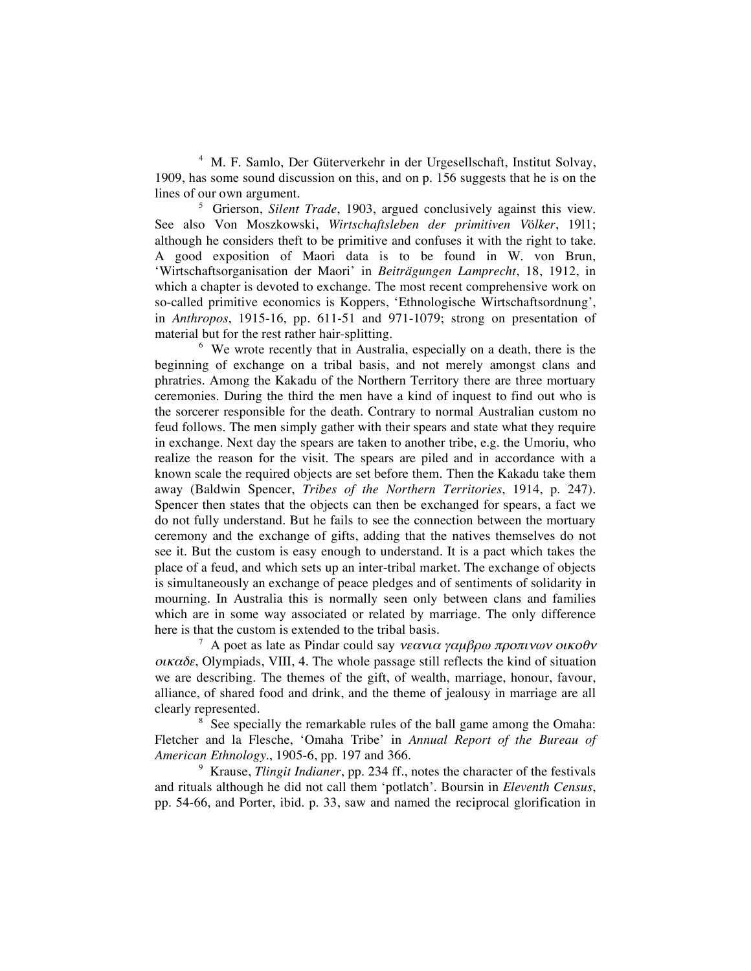<sup>4</sup> M. F. Samlo, Der Güterverkehr in der Urgesellschaft, Institut Solvay, 1909, has some sound discussion on this, and on p. 156 suggests that he is on the lines of our own argument.

<sup>5</sup> Grierson, *Silent Trade*, 1903, argued conclusively against this view. See also Von Moszkowski, *Wirtschaftsleben der primitiven V*ö*lker*, 19l1; although he considers theft to be primitive and confuses it with the right to take. A good exposition of Maori data is to be found in W. von Brun, 'Wirtschaftsorganisation der Maori' in *Beiträgungen Lamprecht*, 18, 1912, in which a chapter is devoted to exchange. The most recent comprehensive work on so-called primitive economics is Koppers, 'Ethnologische Wirtschaftsordnung', in *Anthropos*, 1915-16, pp. 611-51 and 971-1079; strong on presentation of material but for the rest rather hair-splitting.

<sup>6</sup> We wrote recently that in Australia, especially on a death, there is the beginning of exchange on a tribal basis, and not merely amongst clans and phratries. Among the Kakadu of the Northern Territory there are three mortuary ceremonies. During the third the men have a kind of inquest to find out who is the sorcerer responsible for the death. Contrary to normal Australian custom no feud follows. The men simply gather with their spears and state what they require in exchange. Next day the spears are taken to another tribe, e.g. the Umoriu, who realize the reason for the visit. The spears are piled and in accordance with a known scale the required objects are set before them. Then the Kakadu take them away (Baldwin Spencer, *Tribes of the Northern Territories*, 1914, p. 247). Spencer then states that the objects can then be exchanged for spears, a fact we do not fully understand. But he fails to see the connection between the mortuary ceremony and the exchange of gifts, adding that the natives themselves do not see it. But the custom is easy enough to understand. It is a pact which takes the place of a feud, and which sets up an inter-tribal market. The exchange of objects is simultaneously an exchange of peace pledges and of sentiments of solidarity in mourning. In Australia this is normally seen only between clans and families which are in some way associated or related by marriage. The only difference here is that the custom is extended to the tribal basis.

<sup>7</sup> A poet as late as Pindar could say  $\alpha \nu \alpha \gamma \alpha \mu \beta \rho \omega \pi \rho \sigma \pi \nu \omega \nu \alpha \nu \sigma \theta \nu$  $\partial u \kappa \alpha \delta \varepsilon$ , Olympiads, VIII, 4. The whole passage still reflects the kind of situation we are describing. The themes of the gift, of wealth, marriage, honour, favour, alliance, of shared food and drink, and the theme of jealousy in marriage are all clearly represented.

See specially the remarkable rules of the ball game among the Omaha: Fletcher and la Flesche, 'Omaha Tribe' in *Annual Report of the Bureau of American Ethnology.*, 1905-6, pp. 197 and 366.

<sup>9</sup> Krause, *Tlingit Indianer*, pp. 234 ff., notes the character of the festivals and rituals although he did not call them 'potlatch'. Boursin in *Eleventh Census*, pp. 54-66, and Porter, ibid. p. 33, saw and named the reciprocal glorification in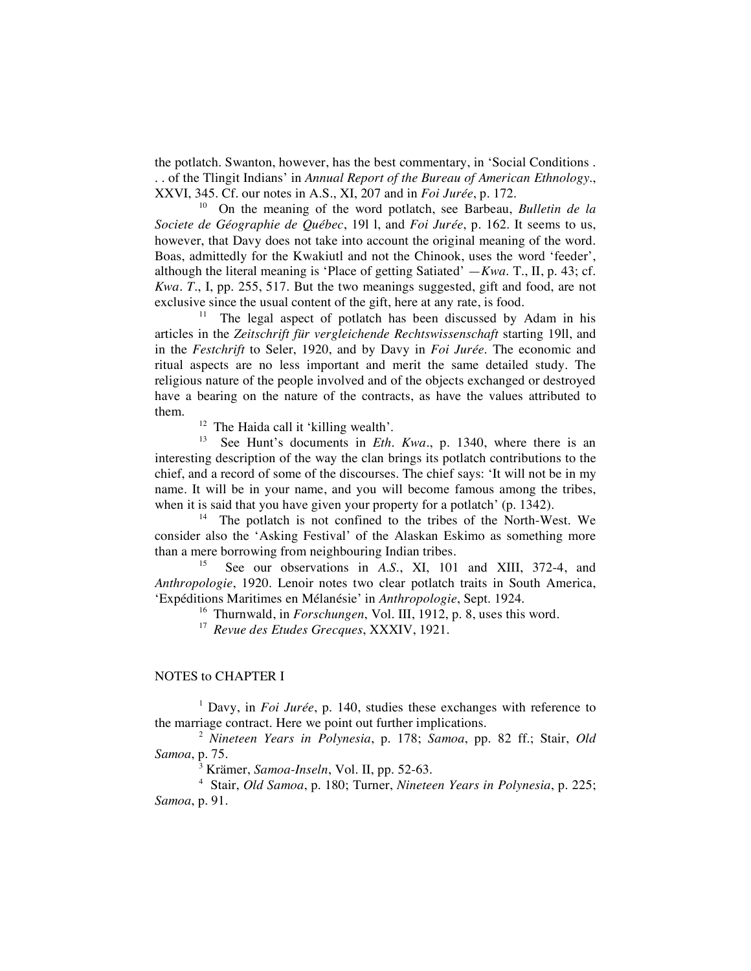the potlatch. Swanton, however, has the best commentary, in 'Social Conditions . . . of the Tlingit Indians' in *Annual Report of the Bureau of American Ethnology.*, XXVI, 345. Cf. our notes in A.S., XI, 207 and in *Foi Jurée*, p. 172.

<sup>10</sup> On the meaning of the word potlatch, see Barbeau, *Bulletin de la Societe de Géographie de Québec*, 19l l, and *Foi Jurée*, p. 162. It seems to us, however, that Davy does not take into account the original meaning of the word. Boas, admittedly for the Kwakiutl and not the Chinook, uses the word 'feeder', although the literal meaning is 'Place of getting Satiated' —*Kwa*. T., II, p. 43; cf. *Kwa. T*., I, pp. 255, 517. But the two meanings suggested, gift and food, are not exclusive since the usual content of the gift, here at any rate, is food.

<sup>11</sup> The legal aspect of potlatch has been discussed by Adam in his articles in the *Zeitschrift für vergleichende Rechtswissenschaft* starting 19ll, and in the *Festchrift* to Seler, 1920, and by Davy in *Foi Jurée*. The economic and ritual aspects are no less important and merit the same detailed study. The religious nature of the people involved and of the objects exchanged or destroyed have a bearing on the nature of the contracts, as have the values attributed to them.

<sup>12</sup> The Haida call it 'killing wealth'.<br><sup>13</sup> See Hunt's documents in *Fth* 

See Hunt's documents in *Eth. Kwa.*, p. 1340, where there is an interesting description of the way the clan brings its potlatch contributions to the chief, and a record of some of the discourses. The chief says: 'It will not be in my name. It will be in your name, and you will become famous among the tribes, when it is said that you have given your property for a potlatch' (p. 1342).

<sup>14</sup> The potlatch is not confined to the tribes of the North-West. We consider also the 'Asking Festival' of the Alaskan Eskimo as something more than a mere borrowing from neighbouring Indian tribes.

See our observations in A.S., XI, 101 and XIII, 372-4, and *Anthropologie*, 1920. Lenoir notes two clear potlatch traits in South America, 'Expéditions Maritimes en Mélanésie' in *Anthropologie*, Sept. 1924.

<sup>16</sup> Thurnwald, in *Forschungen*, Vol. III, 1912, p. 8, uses this word.

<sup>17</sup> *Revue des Etudes Grecques*, XXXIV, 1921.

### NOTES to CHAPTER I

<sup>1</sup> Davy, in *Foi Jurée*, p. 140, studies these exchanges with reference to the marriage contract. Here we point out further implications.

<sup>2</sup> *Nineteen Years in Polynesia*, p. 178; *Samoa*, pp. 82 ff.; Stair, *Old Samoa*, p. 75.

<sup>3</sup> Krämer, *Samoa-Inseln*, Vol. II, pp. 52-63.

<sup>4</sup> Stair, *Old Samoa*, p. 180; Turner, *Nineteen Years in Polynesia*, p. 225; *Samoa*, p. 91.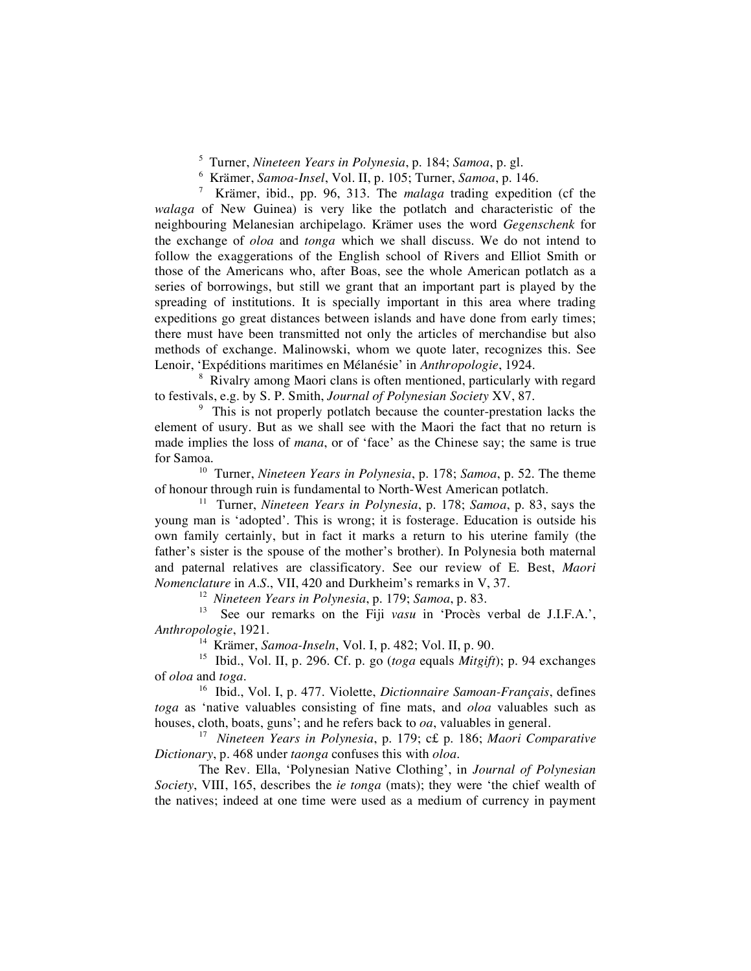<sup>5</sup> Turner, *Nineteen Years in Polynesia*, p. 184; *Samoa*, p. gl.

<sup>6</sup> Krämer, *Samoa-Insel*, Vol. II, p. 105; Turner, *Samoa*, p. 146.

<sup>7</sup> Krämer, ibid., pp. 96, 313. The *malaga* trading expedition (cf the

*walaga* of New Guinea) is very like the potlatch and characteristic of the neighbouring Melanesian archipelago. Krämer uses the word *Gegenschenk* for the exchange of *oloa* and *tonga* which we shall discuss. We do not intend to follow the exaggerations of the English school of Rivers and Elliot Smith or those of the Americans who, after Boas, see the whole American potlatch as a series of borrowings, but still we grant that an important part is played by the spreading of institutions. It is specially important in this area where trading expeditions go great distances between islands and have done from early times; there must have been transmitted not only the articles of merchandise but also methods of exchange. Malinowski, whom we quote later, recognizes this. See Lenoir, 'Expéditions maritimes en Mélanésie' in *Anthropologie*, 1924.

<sup>8</sup> Rivalry among Maori clans is often mentioned, particularly with regard to festivals, e.g. by S. P. Smith, *Journal of Polynesian Society* XV, 87.

<sup>9</sup> This is not properly potlatch because the counter-prestation lacks the element of usury. But as we shall see with the Maori the fact that no return is made implies the loss of *mana*, or of 'face' as the Chinese say; the same is true for Samoa.

<sup>10</sup> Turner, *Nineteen Years in Polynesia*, p. 178; *Samoa*, p. 52. The theme of honour through ruin is fundamental to North-West American potlatch.

<sup>11</sup> Turner, *Nineteen Years in Polynesia*, p. 178; *Samoa*, p. 83, says the young man is 'adopted'. This is wrong; it is fosterage. Education is outside his own family certainly, but in fact it marks a return to his uterine family (the father's sister is the spouse of the mother's brother). In Polynesia both maternal and paternal relatives are classificatory. See our review of E. Best, *Maori Nomenclature* in *A.S.*, VII, 420 and Durkheim's remarks in V, 37.

<sup>12</sup> *Nineteen Years in Polynesia*, p. 179; *Samoa*, p. 83.

<sup>13</sup> See our remarks on the Fiji *vasu* in 'Procès verbal de J.I.F.A.', *Anthropologie*, 1921.

<sup>14</sup> Krämer, *Samoa-Inseln*, Vol. I, p. 482; Vol. II, p. 90.

<sup>15</sup> Ibid., Vol. II, p. 296. Cf. p. go (*toga* equals *Mitgift*); p. 94 exchanges of *oloa* and *toga*.

<sup>16</sup> Ibid., Vol. I, p. 477. Violette, *Dictionnaire Samoan-Français*, defines *toga* as 'native valuables consisting of fine mats, and *oloa* valuables such as houses, cloth, boats, guns'; and he refers back to *oa*, valuables in general.

<sup>17</sup> *Nineteen Years in Polynesia*, p. 179; c£ p. 186; *Maori Comparative Dictionary*, p. 468 under *taonga* confuses this with *oloa*.

The Rev. Ella, 'Polynesian Native Clothing', in *Journal of Polynesian Society*, VIII, 165, describes the *ie tonga* (mats); they were 'the chief wealth of the natives; indeed at one time were used as a medium of currency in payment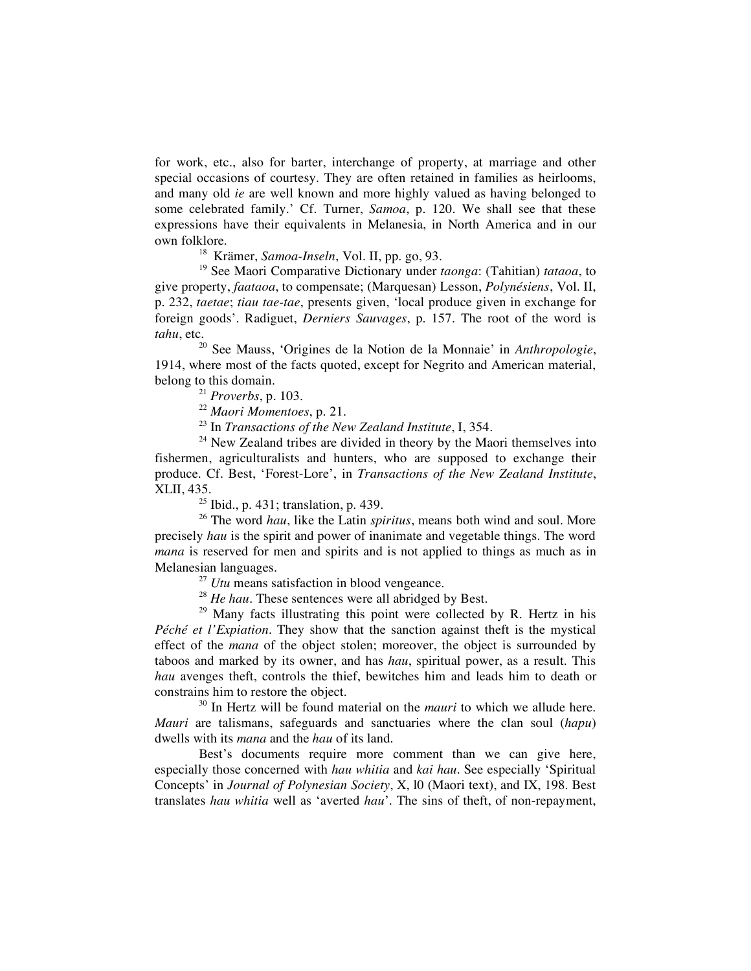for work, etc., also for barter, interchange of property, at marriage and other special occasions of courtesy. They are often retained in families as heirlooms, and many old *ie* are well known and more highly valued as having belonged to some celebrated family.' Cf. Turner, *Samoa*, p. 120. We shall see that these expressions have their equivalents in Melanesia, in North America and in our own folklore.

<sup>18</sup> Krämer, *Samoa-Inseln*, Vol. II, pp. go, 93.

<sup>19</sup> See Maori Comparative Dictionary under *taonga*: (Tahitian) *tataoa*, to give property, *faataoa*, to compensate; (Marquesan) Lesson, *Polynésiens*, Vol. II, p. 232, *taetae*; *tiau tae-tae*, presents given, 'local produce given in exchange for foreign goods'. Radiguet, *Derniers Sauvages*, p. 157. The root of the word is *tahu*, etc.

<sup>20</sup> See Mauss, 'Origines de la Notion de la Monnaie' in *Anthropologie*, 1914, where most of the facts quoted, except for Negrito and American material, belong to this domain.

<sup>21</sup> *Proverbs*, p. 103.

<sup>22</sup> *Maori Momentoes*, p. 21.

<sup>23</sup> In *Transactions of the New Zealand Institute*, I, 354.

 $24$  New Zealand tribes are divided in theory by the Maori themselves into fishermen, agriculturalists and hunters, who are supposed to exchange their produce. Cf. Best, 'Forest-Lore', in *Transactions of the New Zealand Institute*, XLII, 435.

 $25$  Ibid., p. 431; translation, p. 439.

<sup>26</sup> The word *hau*, like the Latin *spiritus*, means both wind and soul. More precisely *hau* is the spirit and power of inanimate and vegetable things. The word *mana* is reserved for men and spirits and is not applied to things as much as in Melanesian languages.

<sup>27</sup> *Utu* means satisfaction in blood vengeance.

<sup>28</sup> *He hau*. These sentences were all abridged by Best.

<sup>29</sup> Many facts illustrating this point were collected by R. Hertz in his *Péché et l'Expiation*. They show that the sanction against theft is the mystical effect of the *mana* of the object stolen; moreover, the object is surrounded by taboos and marked by its owner, and has *hau*, spiritual power, as a result. This *hau* avenges theft, controls the thief, bewitches him and leads him to death or constrains him to restore the object.

<sup>30</sup> In Hertz will be found material on the *mauri* to which we allude here. *Mauri* are talismans, safeguards and sanctuaries where the clan soul (*hapu*) dwells with its *mana* and the *hau* of its land.

Best's documents require more comment than we can give here, especially those concerned with *hau whitia* and *kai hau*. See especially 'Spiritual Concepts' in *Journal of Polynesian Society*, X, l0 (Maori text), and IX, 198. Best translates *hau whitia* well as 'averted *hau*'. The sins of theft, of non-repayment,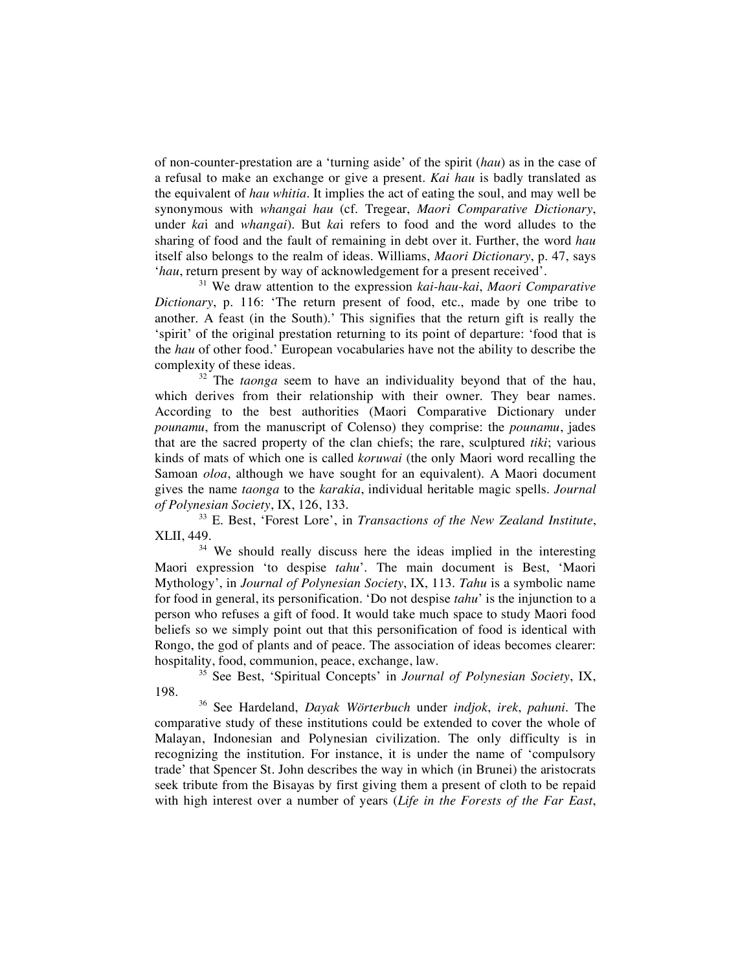of non-counter-prestation are a 'turning aside' of the spirit (*hau*) as in the case of a refusal to make an exchange or give a present. *Kai hau* is badly translated as the equivalent of *hau whitia*. It implies the act of eating the soul, and may well be synonymous with *whangai hau* (cf. Tregear, *Maori Comparative Dictionary*, under *ka*i and *whangai*). But *ka*i refers to food and the word alludes to the sharing of food and the fault of remaining in debt over it. Further, the word *hau* itself also belongs to the realm of ideas. Williams, *Maori Dictionary*, p. 47, says '*hau*, return present by way of acknowledgement for a present received'.

<sup>31</sup> We draw attention to the expression *kai-hau-kai*, *Maori Comparative Dictionary*, p. 116: 'The return present of food, etc., made by one tribe to another. A feast (in the South).' This signifies that the return gift is really the 'spirit' of the original prestation returning to its point of departure: 'food that is the *hau* of other food.' European vocabularies have not the ability to describe the complexity of these ideas.

<sup>32</sup> The *taonga* seem to have an individuality beyond that of the hau, which derives from their relationship with their owner. They bear names. According to the best authorities (Maori Comparative Dictionary under *pounamu*, from the manuscript of Colenso) they comprise: the *pounamu*, jades that are the sacred property of the clan chiefs; the rare, sculptured *tiki*; various kinds of mats of which one is called *koruwai* (the only Maori word recalling the Samoan *oloa*, although we have sought for an equivalent). A Maori document gives the name *taonga* to the *karakia*, individual heritable magic spells. *Journal of Polynesian Society*, IX, 126, 133.

<sup>33</sup> E. Best, 'Forest Lore', in *Transactions of the New Zealand Institute*, XLII, 449.

<sup>34</sup> We should really discuss here the ideas implied in the interesting Maori expression 'to despise *tahu*'. The main document is Best, 'Maori Mythology', in *Journal of Polynesian Society*, IX, 113. *Tahu* is a symbolic name for food in general, its personification. 'Do not despise *tahu*' is the injunction to a person who refuses a gift of food. It would take much space to study Maori food beliefs so we simply point out that this personification of food is identical with Rongo, the god of plants and of peace. The association of ideas becomes clearer: hospitality, food, communion, peace, exchange, law.

<sup>35</sup> See Best, 'Spiritual Concepts' in *Journal of Polynesian Society*, IX, 198.

<sup>36</sup> See Hardeland, *Dayak Wörterbuch* under *indjok*, *irek*, *pahuni*. The comparative study of these institutions could be extended to cover the whole of Malayan, Indonesian and Polynesian civilization. The only difficulty is in recognizing the institution. For instance, it is under the name of 'compulsory trade' that Spencer St. John describes the way in which (in Brunei) the aristocrats seek tribute from the Bisayas by first giving them a present of cloth to be repaid with high interest over a number of years (*Life in the Forests of the Far East*,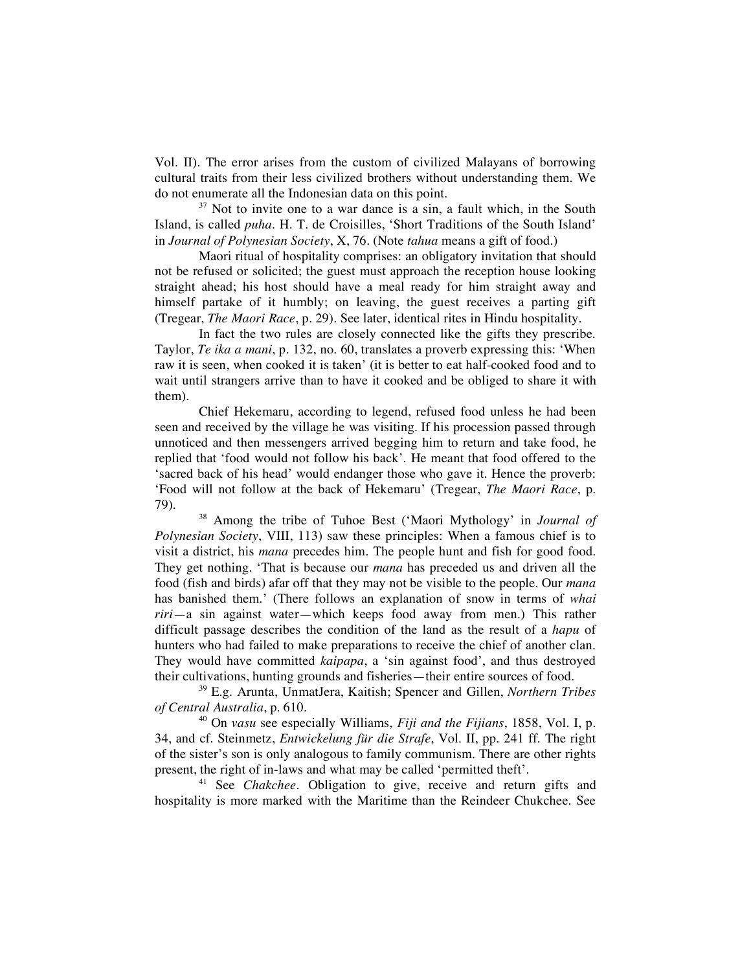Vol. II). The error arises from the custom of civilized Malayans of borrowing cultural traits from their less civilized brothers without understanding them. We do not enumerate all the Indonesian data on this point.

 $37$  Not to invite one to a war dance is a sin, a fault which, in the South Island, is called *puha*. H. T. de Croisilles, 'Short Traditions of the South Island' in *Journal of Polynesian Society*, X, 76. (Note *tahua* means a gift of food.)

Maori ritual of hospitality comprises: an obligatory invitation that should not be refused or solicited; the guest must approach the reception house looking straight ahead; his host should have a meal ready for him straight away and himself partake of it humbly; on leaving, the guest receives a parting gift (Tregear, *The Maori Race*, p. 29). See later, identical rites in Hindu hospitality.

In fact the two rules are closely connected like the gifts they prescribe. Taylor, *Te ika a mani*, p. 132, no. 60, translates a proverb expressing this: 'When raw it is seen, when cooked it is taken' (it is better to eat half-cooked food and to wait until strangers arrive than to have it cooked and be obliged to share it with them).

Chief Hekemaru, according to legend, refused food unless he had been seen and received by the village he was visiting. If his procession passed through unnoticed and then messengers arrived begging him to return and take food, he replied that 'food would not follow his back'. He meant that food offered to the 'sacred back of his head' would endanger those who gave it. Hence the proverb: 'Food will not follow at the back of Hekemaru' (Tregear, *The Maori Race*, p. 79).

<sup>38</sup> Among the tribe of Tuhoe Best ('Maori Mythology' in *Journal of Polynesian Society*, VIII, 113) saw these principles: When a famous chief is to visit a district, his *mana* precedes him. The people hunt and fish for good food. They get nothing. 'That is because our *mana* has preceded us and driven all the food (fish and birds) afar off that they may not be visible to the people. Our *mana* has banished them.' (There follows an explanation of snow in terms of *whai riri*—a sin against water—which keeps food away from men.) This rather difficult passage describes the condition of the land as the result of a *hapu* of hunters who had failed to make preparations to receive the chief of another clan. They would have committed *kaipapa*, a 'sin against food', and thus destroyed their cultivations, hunting grounds and fisheries—their entire sources of food.

<sup>39</sup> E.g. Arunta, UnmatJera, Kaitish; Spencer and Gillen, *Northern Tribes of Central Australia*, p. 610.

<sup>40</sup> On *vasu* see especially Williams, *Fiji and the Fijians*, 1858, Vol. I, p. 34, and cf. Steinmetz, *Entwickelung für die Strafe*, Vol. II, pp. 241 ff. The right of the sister's son is only analogous to family communism. There are other rights present, the right of in-laws and what may be called 'permitted theft'.

<sup>41</sup> See *Chakchee*. Obligation to give, receive and return gifts and hospitality is more marked with the Maritime than the Reindeer Chukchee. See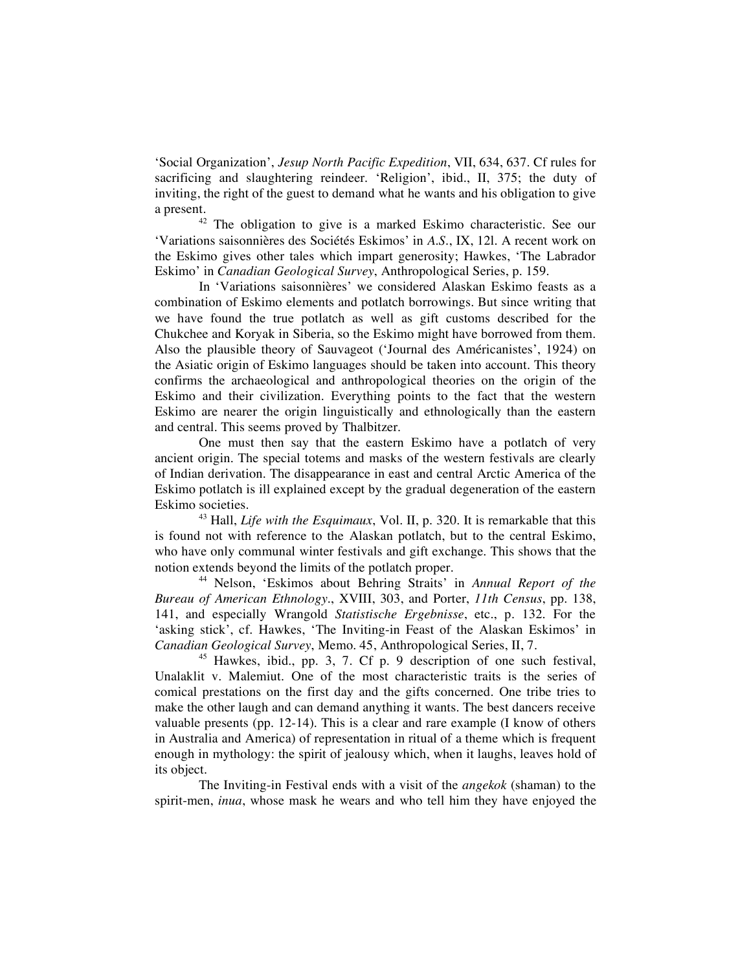'Social Organization', *Jesup North Pacific Expedition*, VII, 634, 637. Cf rules for sacrificing and slaughtering reindeer. 'Religion', ibid., II, 375; the duty of inviting, the right of the guest to demand what he wants and his obligation to give a present.

<sup>42</sup> The obligation to give is a marked Eskimo characteristic. See our 'Variations saisonnières des Sociétés Eskimos' in *A.S.*, IX, 12l. A recent work on the Eskimo gives other tales which impart generosity; Hawkes, 'The Labrador Eskimo' in *Canadian Geological Survey*, Anthropological Series, p. 159.

In 'Variations saisonnières' we considered Alaskan Eskimo feasts as a combination of Eskimo elements and potlatch borrowings. But since writing that we have found the true potlatch as well as gift customs described for the Chukchee and Koryak in Siberia, so the Eskimo might have borrowed from them. Also the plausible theory of Sauvageot ('Journal des Américanistes', 1924) on the Asiatic origin of Eskimo languages should be taken into account. This theory confirms the archaeological and anthropological theories on the origin of the Eskimo and their civilization. Everything points to the fact that the western Eskimo are nearer the origin linguistically and ethnologically than the eastern and central. This seems proved by Thalbitzer.

One must then say that the eastern Eskimo have a potlatch of very ancient origin. The special totems and masks of the western festivals are clearly of Indian derivation. The disappearance in east and central Arctic America of the Eskimo potlatch is ill explained except by the gradual degeneration of the eastern Eskimo societies.

<sup>43</sup> Hall, *Life with the Esquimaux*, Vol. II, p. 320. It is remarkable that this is found not with reference to the Alaskan potlatch, but to the central Eskimo, who have only communal winter festivals and gift exchange. This shows that the notion extends beyond the limits of the potlatch proper.

<sup>44</sup> Nelson, 'Eskimos about Behring Straits' in *Annual Report of the Bureau of American Ethnology.*, XVIII, 303, and Porter, *11th Census*, pp. 138, 141, and especially Wrangold *Statistische Ergebnisse*, etc., p. 132. For the 'asking stick', cf. Hawkes, 'The Inviting-in Feast of the Alaskan Eskimos' in *Canadian Geological Survey*, Memo. 45, Anthropological Series, II, 7.

<sup>45</sup> Hawkes, ibid., pp. 3, 7. Cf p. 9 description of one such festival, Unalaklit v. Malemiut. One of the most characteristic traits is the series of comical prestations on the first day and the gifts concerned. One tribe tries to make the other laugh and can demand anything it wants. The best dancers receive valuable presents (pp. 12-14). This is a clear and rare example (I know of others in Australia and America) of representation in ritual of a theme which is frequent enough in mythology: the spirit of jealousy which, when it laughs, leaves hold of its object.

The Inviting-in Festival ends with a visit of the *angekok* (shaman) to the spirit-men, *inua*, whose mask he wears and who tell him they have enjoyed the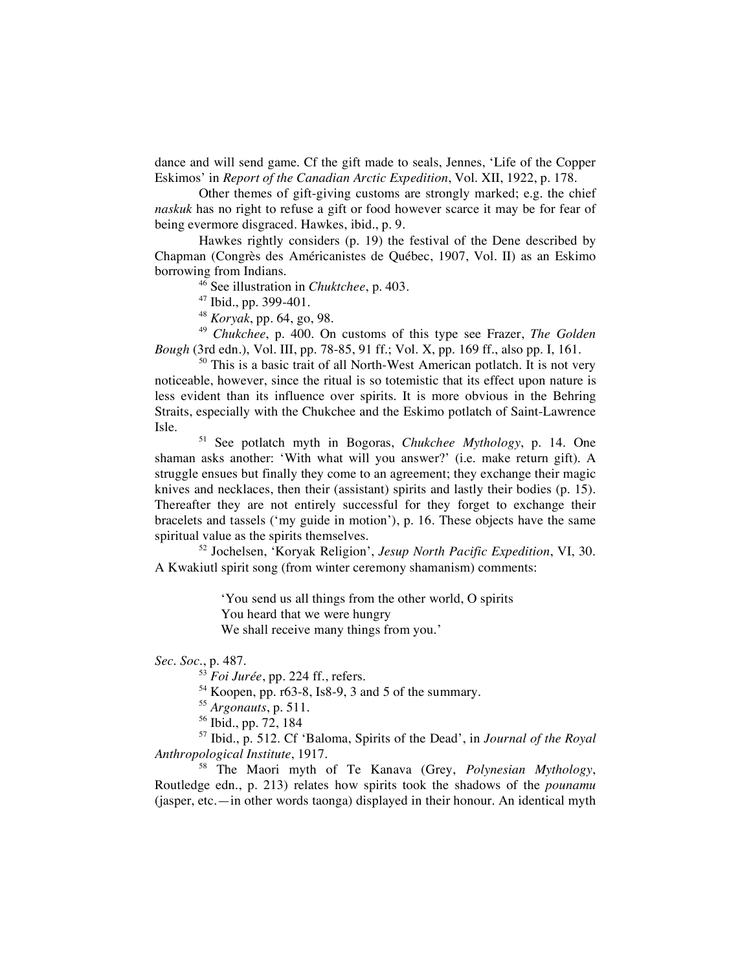dance and will send game. Cf the gift made to seals, Jennes, 'Life of the Copper Eskimos' in *Report of the Canadian Arctic Expedition*, Vol. XII, 1922, p. 178.

Other themes of gift-giving customs are strongly marked; e.g. the chief *naskuk* has no right to refuse a gift or food however scarce it may be for fear of being evermore disgraced. Hawkes, ibid., p. 9.

Hawkes rightly considers (p. 19) the festival of the Dene described by Chapman (Congrès des Américanistes de Québec, 1907, Vol. II) as an Eskimo borrowing from Indians.

<sup>46</sup> See illustration in *Chuktchee*, p. 403.

 $47$  Ibid., pp. 399-401.

<sup>48</sup> *Koryak*, pp. 64, go, 98.

<sup>49</sup> *Chukchee*, p. 400. On customs of this type see Frazer, *The Golden Bough* (3rd edn.), Vol. III, pp. 78-85, 91 ff.; Vol. X, pp. 169 ff., also pp. I, 161.

 $50$  This is a basic trait of all North-West American potlatch. It is not very noticeable, however, since the ritual is so totemistic that its effect upon nature is less evident than its influence over spirits. It is more obvious in the Behring Straits, especially with the Chukchee and the Eskimo potlatch of Saint-Lawrence Isle.

<sup>51</sup> See potlatch myth in Bogoras, *Chukchee Mythology*, p. 14. One shaman asks another: 'With what will you answer?' (i.e. make return gift). A struggle ensues but finally they come to an agreement; they exchange their magic knives and necklaces, then their (assistant) spirits and lastly their bodies (p. 15). Thereafter they are not entirely successful for they forget to exchange their bracelets and tassels ('my guide in motion'), p. 16. These objects have the same spiritual value as the spirits themselves.

<sup>52</sup> Jochelsen, 'Koryak Religion', *Jesup North Pacific Expedition*, VI, 30. A Kwakiutl spirit song (from winter ceremony shamanism) comments:

> 'You send us all things from the other world, O spirits You heard that we were hungry We shall receive many things from you.'

*Sec. Soc*., p. 487.

<sup>53</sup> *Foi Jurée*, pp. 224 ff., refers.

 $54$  Koopen, pp. r63-8, Is8-9, 3 and 5 of the summary.

<sup>55</sup> *Argonauts*, p. 511.

<sup>56</sup> Ibid., pp. 72, 184

<sup>57</sup> Ibid., p. 512. Cf 'Baloma, Spirits of the Dead', in *Journal of the Royal Anthropological Institute*, 1917.

<sup>58</sup> The Maori myth of Te Kanava (Grey, *Polynesian Mythology*, Routledge edn., p. 213) relates how spirits took the shadows of the *pounamu* (jasper, etc.—in other words taonga) displayed in their honour. An identical myth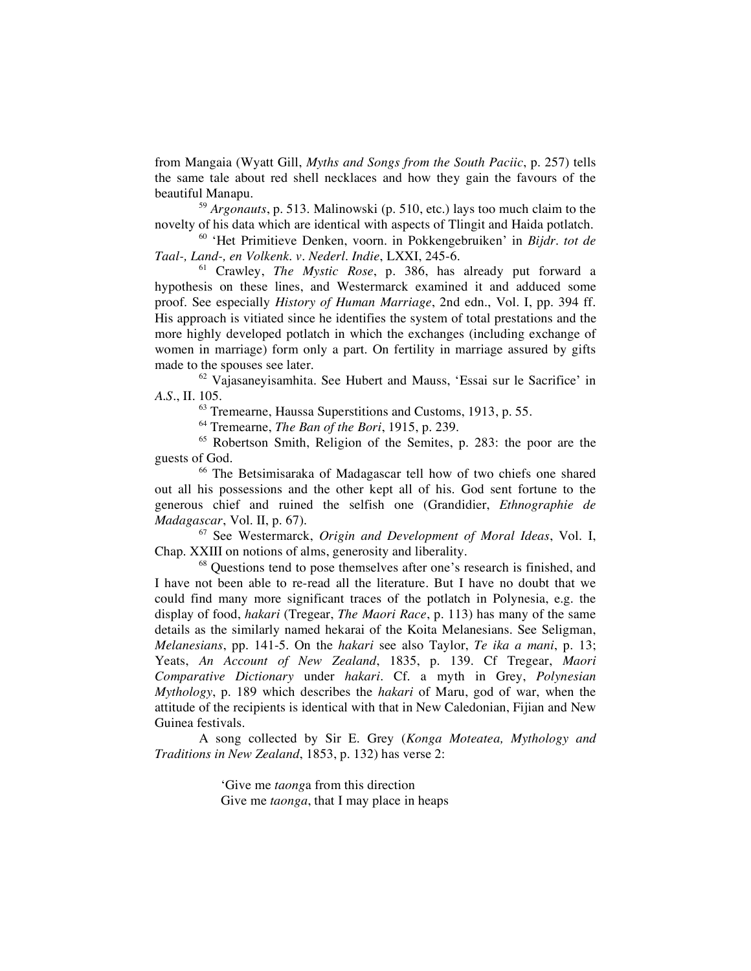from Mangaia (Wyatt Gill, *Myths and Songs from the South Paciic*, p. 257) tells the same tale about red shell necklaces and how they gain the favours of the beautiful Manapu.

<sup>59</sup> *Argonauts*, p. 513. Malinowski (p. 510, etc.) lays too much claim to the novelty of his data which are identical with aspects of Tlingit and Haida potlatch.

<sup>60</sup> 'Het Primitieve Denken, voorn. in Pokkengebruiken' in *Bijdr. tot de Taal-, Land-, en Volkenk. v. Nederl. Indie*, LXXI, 245-6.

<sup>61</sup> Crawley, *The Mystic Rose*, p. 386, has already put forward a hypothesis on these lines, and Westermarck examined it and adduced some proof. See especially *History of Human Marriage*, 2nd edn., Vol. I, pp. 394 ff. His approach is vitiated since he identifies the system of total prestations and the more highly developed potlatch in which the exchanges (including exchange of women in marriage) form only a part. On fertility in marriage assured by gifts made to the spouses see later.

<sup>62</sup> Vajasaneyisamhita. See Hubert and Mauss, 'Essai sur le Sacrifice' in *A.S.*, II. 105.

 $63$  Tremearne, Haussa Superstitions and Customs, 1913, p. 55.

<sup>64</sup> Tremearne, *The Ban of the Bori*, 1915, p. 239.

<sup>65</sup> Robertson Smith, Religion of the Semites, p. 283: the poor are the guests of God.

<sup>66</sup> The Betsimisaraka of Madagascar tell how of two chiefs one shared out all his possessions and the other kept all of his. God sent fortune to the generous chief and ruined the selfish one (Grandidier, *Ethnographie de Madagascar*, Vol. II, p. 67).

<sup>67</sup> See Westermarck, *Origin and Development of Moral Ideas*, Vol. I, Chap. XXIII on notions of alms, generosity and liberality.

<sup>68</sup> Questions tend to pose themselves after one's research is finished, and I have not been able to re-read all the literature. But I have no doubt that we could find many more significant traces of the potlatch in Polynesia, e.g. the display of food, *hakari* (Tregear, *The Maori Race*, p. 113) has many of the same details as the similarly named hekarai of the Koita Melanesians. See Seligman, *Melanesians*, pp. 141-5. On the *hakari* see also Taylor, *Te ika a mani*, p. 13; Yeats, *An Account of New Zealand*, 1835, p. 139. Cf Tregear, *Maori Comparative Dictionary* under *hakari*. Cf. a myth in Grey, *Polynesian Mythology*, p. 189 which describes the *hakari* of Maru, god of war, when the attitude of the recipients is identical with that in New Caledonian, Fijian and New Guinea festivals.

A song collected by Sir E. Grey (*Konga Moteatea, Mythology and Traditions in New Zealand*, 1853, p. 132) has verse 2:

> 'Give me *taong*a from this direction Give me *taonga*, that I may place in heaps